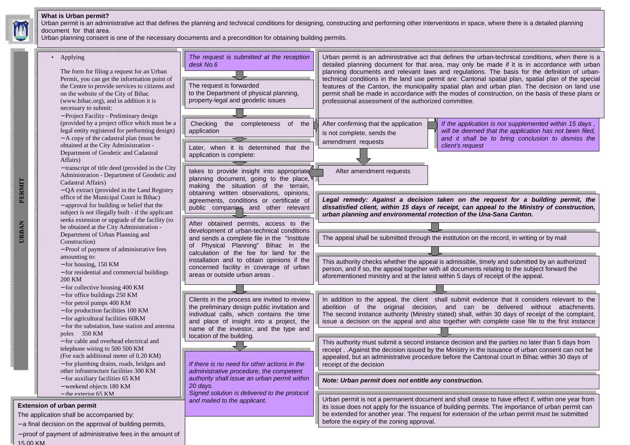#### **What is Urban permit?**

 Urban permit is an administrative act that defines the planning and technical conditions for designing, constructing and performing other interventions in space, where there is a detailed planning document for that area.

Urban planning consent is one of the necessary documents and a precondition for obtaining building permits.

If the application is not supplemented within 15 days , will be deemed that the application has not been filed, and it shall be to bring conclusion to dismiss the



15.00 KM.